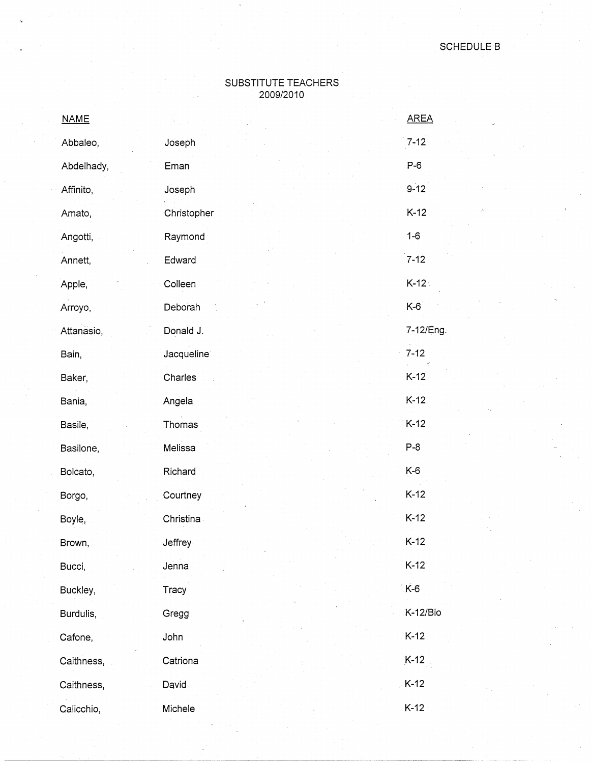## SUBSTITUTE TEACHERS 2009/2010

| <b>NAME</b> |                         | <b>AREA</b> |
|-------------|-------------------------|-------------|
| Abbaleo,    | Joseph                  | $7 - 12$    |
| Abdelhady,  | Eman                    | $P-6$       |
| Affinito,   | Joseph                  | $9 - 12$    |
| Amato,      | Christopher             | $K-12$      |
| Angotti,    | Raymond                 | $1 - 6$     |
| Annett,     | Edward                  | $7 - 12$    |
| Apple,      | Colleen                 | $K-12$      |
| Arroyo,     | Deborah                 | $K-6$       |
| Attanasio,  | Donald J.               | 7-12/Eng.   |
| Bain,       | Jacqueline <sup>®</sup> | $7 - 12$    |
| Baker,      | Charles                 | $K-12$      |
| Bania,      | Angela                  | $K-12$      |
| Basile,     | Thomas                  | $K-12$      |
| Basilone,   | Melissa                 | $P-8$       |
| Bolcato,    | Richard                 | K-6         |
| Borgo,      | Courtney                | $K-12$      |
| Boyle,      | Christina -             | $K-12$      |
| Brown,      | Jeffrey                 | $K-12$      |
| Bucci,      | Jenna                   | $K-12$      |
| Buckley,    | Tracy                   | $K-6$       |
| Burdulis,   | Gregg                   | K-12/Bio    |
| Cafone,     | John                    | $K-12$      |
| Caithness,  | Catriona                | $K-12$      |
| Caithness,  | David                   | $K-12$      |
| Calicchio,  | Michele                 | $K-12$      |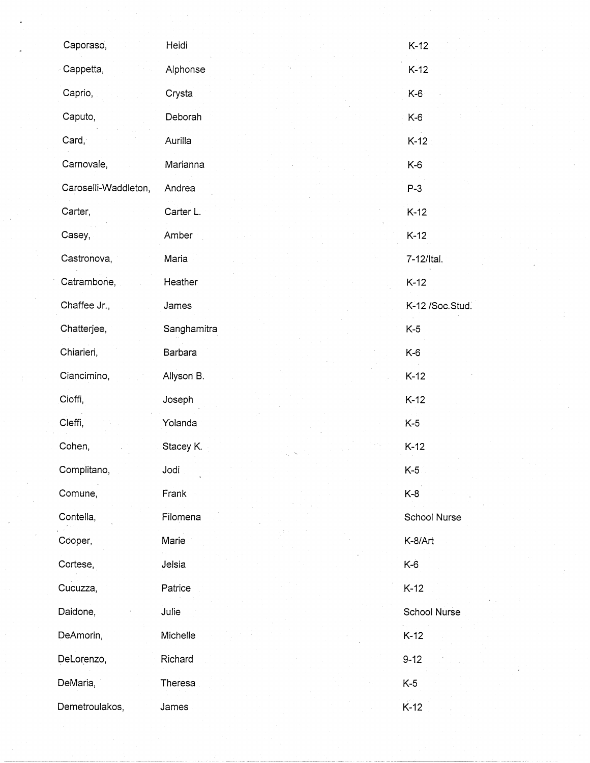| Caporaso,            | Heidi       | $K-12$          |
|----------------------|-------------|-----------------|
| Cappetta,            | Alphonse    | $K-12$          |
| Caprio,              | Crysta      | $K-6$           |
| Caputo,              | Deborah     | K-6             |
| Card,                | Aurilla     | $K-12$          |
| Carnovale,           | Marianna    | K-6             |
| Caroselli-Waddleton, | Andrea      | $P-3$           |
| Carter,              | Carter L.   | $K-12$          |
| Casey,               | Amber       | $K-12$          |
| Castronova,          | Maria       | 7-12/Ital.      |
| Catrambone,          | Heather     | $K-12$          |
| Chaffee Jr.,         | James       | K-12 /Soc.Stud. |
| Chatterjee,          | Sanghamitra | $K-5$           |
| Chiarieri,           | Barbara     | $K-6$           |
| Ciancimino,          | Allyson B.  | $K-12$          |
| Cioffi,              | Joseph      | $K-12$          |
| Cleffi,              | Yolanda     | $K-5$           |
| Cohen,               | Stacey K.   | $K-12$          |
| Complitano,          | Jodi        | $K-5$           |
| Comune,              | Frank       | $K-8$           |
| Contella,            | Filomena    | School Nurse    |
| Cooper,              | Marie       | K-8/Art         |
| Cortese,             | Jelsia      | $K-6$           |
| Cucuzza,             | Patrice     | $K-12$          |
| Daidone,             | Julie       | School Nurse    |
| DeAmorin,            | Michelle    | $K-12$          |
| DeLorenzo,           | Richard     | $9 - 12$        |
| DeMaria,             | Theresa     | $K-5$           |
| Demetroulakos,       | James       | $K-12$          |

 $\label{eq:2} \frac{1}{\sqrt{2}}\int_{0}^{\infty} \frac{1}{\sqrt{2}}\,d\mu_{\mu}$ 

 $\hat{\boldsymbol{\epsilon}}$ 

 $\sim$ 

 $\hat{\mathcal{L}}$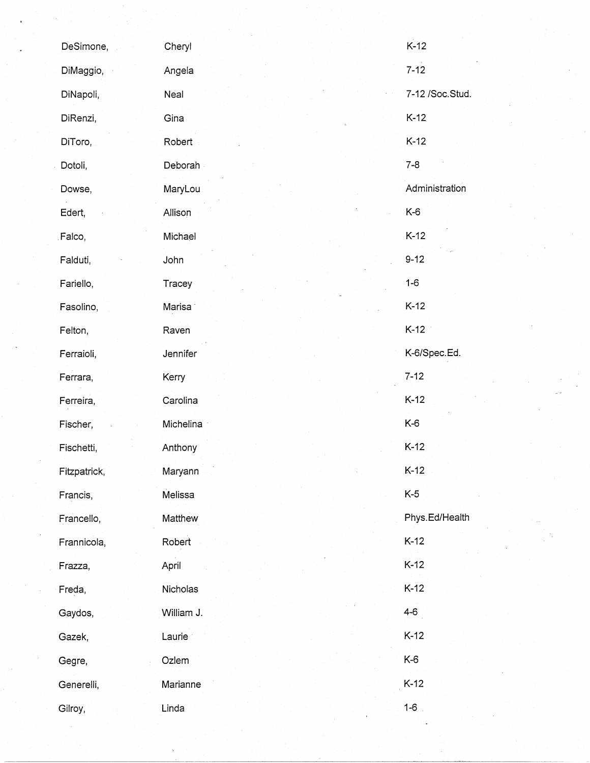| DeSimone,    | Cheryl              | $K-12$            |
|--------------|---------------------|-------------------|
| DiMaggio,    | Angela              | $7 - 12$          |
| DiNapoli,    | Neal                | 7-12 / Soc. Stud. |
| DiRenzi,     | Gina                | $K-12$            |
| DiToro,      | Robert              | $K-12$            |
| Dotoli,      | Deborah             | $7 - 8$           |
| Dowse,       | MaryLou             | Administration    |
| Edert,       | Allison             | $K-6$             |
| Falco,       | Michael             | $K-12$            |
| Falduti,     | John                | $9 - 12$          |
| Fariello,    | Tracey              | $1-6$             |
| Fasolino,    | Marisa <sup>®</sup> | $K-12$            |
| Felton,      | Raven               | $K-12$            |
| Ferraioli,   | Jennifer            | K-6/Spec.Ed.      |
| Ferrara,     | Kerry               | $7 - 12$          |
| Ferreira,    | Carolina            | $K-12$            |
| Fischer,     | Michelina           | K-6               |
| Fischetti,   | Anthony             | $K-12$            |
| Fitzpatrick, | Maryann             | $K-12$            |
| Francis,     | Melissa             | $K-5$             |
| Francello,   | Matthew             | Phys.Ed/Health    |
| Frannicola,  | Robert              | $K-12$            |
| Frazza,      | April               | $K-12$            |
| Freda,       | Nicholas            | $K-12$            |
| Gaydos,      | William J.          | $4 - 6$           |
| Gazek,       | Laurie              | $K-12$            |
| Gegre,       | Ozlem               | K-6               |
| Generelli,   | Marianne            | $K-12$            |
| Gilroy,      | Linda               | $1 - 6$           |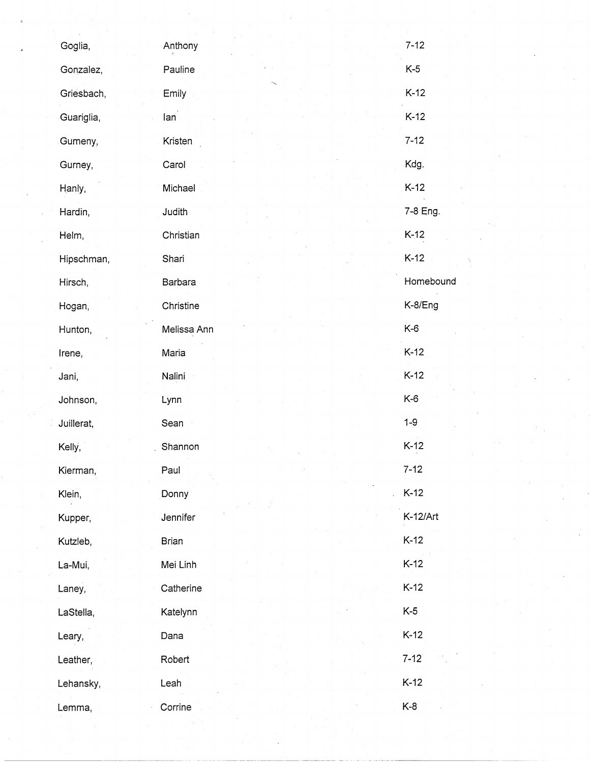| Goglia,    | Anthony      | $7 - 12$  |
|------------|--------------|-----------|
| Gonzalez,  | Pauline      | $K-5$     |
| Griesbach, | Emily        | $K-12$    |
| Guariglia, | lan          | $K-12$    |
| Gumeny,    | Kristen      | $7 - 12$  |
| Gurney,    | Carol        | Kdg.      |
| Hanly,     | Michael      | $K-12$    |
| Hardin,    | Judith       | 7-8 Eng.  |
| Helm,      | Christian    | $K-12$    |
| Hipschman, | Shari        | $K-12$    |
| Hirsch,    | Barbara      | Homebound |
| Hogan,     | Christine    | K-8/Eng   |
| Hunton,    | Melissa Ann  | K-6       |
| Irene,     | Maria        | $K-12$    |
| Jani,      | Nalini       | $K-12$    |
| Johnson,   | Lynn         | $K-6$     |
| Juillerat, | Sean         | $1 - 9$   |
| Kelly,     | Shannon      | $K-12$    |
| Kierman,   | Paul         | $7 - 12$  |
| Klein,     | Donny        | $K-12$    |
| Kupper,    | Jennifer     | K-12/Art  |
| Kutzleb,   | <b>Brian</b> | $K-12$    |
| La-Mui,    | Mei Linh     | $K-12$    |
| Laney,     | Catherine    | $K-12$    |
| LaStella,  | Katelynn     | $K-5$     |
| Leary,     | Dana         | $K-12$    |
| Leather,   | Robert       | $7 - 12$  |
| Lehansky,  | Leah         | $K-12$    |
| Lemma,     | Corrine      | $K-8$     |

 $\mathcal{O}(\mathbb{R}^d)$  ,  $\mathcal{F}(\mathbb{R})$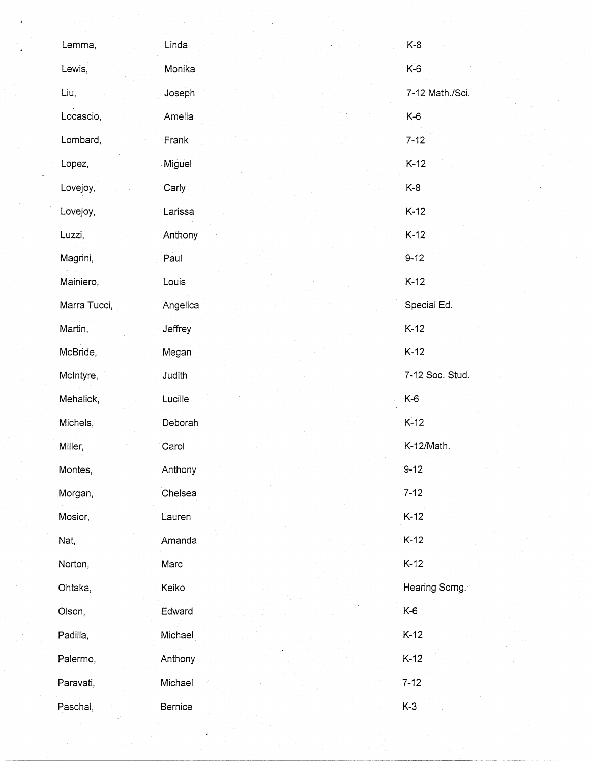| Lemma,       | Linda    | $K-8$           |
|--------------|----------|-----------------|
| Lewis,       | Monika   | $K-6$           |
| Liu,         | Joseph   | 7-12 Math./Sci. |
| Locascio,    | Amelia   | $K-6$           |
| Lombard,     | Frank    | $7 - 12$        |
| Lopez,       | Miguel   | $K-12$          |
| Lovejoy,     | Carly    | $K-8$           |
| Lovejoy,     | Larissa  | $K-12$          |
| Luzzi,       | Anthony  | $K-12$          |
| Magrini,     | Paul     | $9 - 12$        |
| Mainiero,    | Louis    | $K-12$          |
| Marra Tucci, | Angelica | Special Ed.     |
| Martin,      | Jeffrey  | $K-12$          |
| McBride,     | Megan    | $K-12$          |
| McIntyre,    | Judith   | 7-12 Soc. Stud. |
| Mehalick,    | Lucille  | K-6             |
| Michels,     | Deborah  | $K-12$          |
| Miller,      | Carol    | K-12/Math.      |
| Montes,      | Anthony  | $9 - 12$        |
| Morgan,      | Chelsea  | $7 - 12$        |
| Mosior,      | Lauren   | $K-12$          |
| Nat,         | Amanda   | $K-12$          |
| Norton,      | Marc     | $K-12$          |
| Ohtaka,      | Keiko    | Hearing Scrng.  |
| Olson,       | Edward   | $K-6$           |
| Padilla,     | Michael  | $K-12$          |
| Palermo,     | Anthony  | $K-12$          |
| Paravati,    | Michael  | $7 - 12$        |
| Paschal,     | Bernice  | $K-3$           |

 $\label{eq:2} \frac{1}{\sqrt{2}}\left(\frac{1}{2}\right)^2$ 

 $\frac{1}{2} \frac{1}{2} \frac{1}{2} \frac{1}{2} \frac{1}{2} \frac{1}{2} \frac{1}{2} \frac{1}{2} \frac{1}{2} \frac{1}{2} \frac{1}{2} \frac{1}{2} \frac{1}{2} \frac{1}{2} \frac{1}{2} \frac{1}{2} \frac{1}{2} \frac{1}{2} \frac{1}{2} \frac{1}{2} \frac{1}{2} \frac{1}{2} \frac{1}{2} \frac{1}{2} \frac{1}{2} \frac{1}{2} \frac{1}{2} \frac{1}{2} \frac{1}{2} \frac{1}{2} \frac{1}{2} \frac{$ 

 $\label{eq:2} \frac{1}{2} \left( \frac{1}{2} \right)^2 \left( \frac{1}{2} \right)^2 \left( \frac{1}{2} \right)^2 \left( \frac{1}{2} \right)^2.$ 

 $\mathcal{L}(\mathcal{A})$  and  $\mathcal{L}(\mathcal{A})$ 

 $\frac{1}{\sqrt{2}}\sum_{i=1}^{n-1}\frac{1}{i} \sum_{j=1}^{n-1} \frac{1}{j} \sum_{j=1}^{n-1} \frac{1}{j} \sum_{j=1}^{n-1} \frac{1}{j} \sum_{j=1}^{n-1} \frac{1}{j} \sum_{j=1}^{n-1} \frac{1}{j} \sum_{j=1}^{n-1} \frac{1}{j} \sum_{j=1}^{n-1} \frac{1}{j} \sum_{j=1}^{n-1} \frac{1}{j} \sum_{j=1}^{n-1} \frac{1}{j} \sum_{j=1}^{n-1} \frac{1}{j} \sum$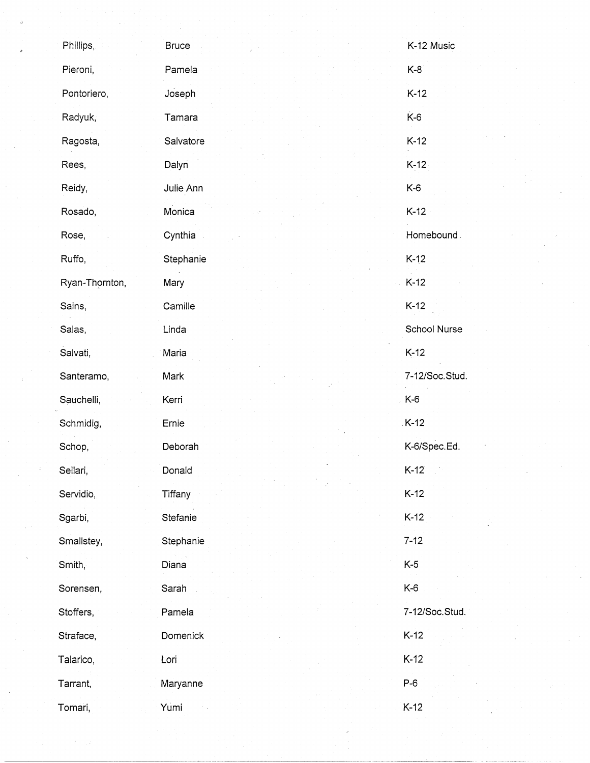| Phillips,      | <b>Bruce</b> | K-12 Music     |
|----------------|--------------|----------------|
| Pieroni,       | Pamela       | $K-8$          |
| Pontoriero,    | Joseph       | $K-12$         |
| Radyuk,        | Tamara       | $K-6$          |
| Ragosta,       | Salvatore    | $K-12$         |
| Rees,          | Dalyn        | $K-12$         |
| Reidy,         | Julie Ann    | K-6            |
| Rosado,        | Monica       | $K-12$         |
| Rose,          | Cynthia      | Homebound.     |
| Ruffo,         | Stephanie    | $K-12$         |
| Ryan-Thornton, | Mary         | $K-12$         |
| Sains,         | Camille      | $K-12$         |
| Salas,         | Linda        | School Nurse   |
| Salvati,       | Maria        | $K-12$         |
| Santeramo,     | Mark         | 7-12/Soc.Stud. |
| Sauchelli,     | Kerri        | $K-6$          |
| Schmidig,      | Ernie        | $K-12$         |
| Schop,         | Deborah      | K-6/Spec.Ed.   |
| Sellari,       | Donald       | $K-12$         |
| Servidio,      | Tiffany      | $K-12$         |
| Sgarbi,        | Stefanie     | $K-12$         |
| Smallstey,     | Stephanie    | $7 - 12$       |
| Smith,         | Diana        | $K-5$          |
| Sorensen,      | Sarah        | K-6            |
| Stoffers,      | Pamela       | 7-12/Soc.Stud. |
| Straface,      | Domenick     | $K-12$         |
| Talarico,      | Lori         | $K-12$         |
| Tarrant,       | Maryanne     | $P-6$          |
| Tomari,        | Yumi         | $K-12$         |

 $\frac{1}{2} \sum_{i=1}^{n} \frac{1}{2} \sum_{j=1}^{n} \frac{1}{2} \sum_{j=1}^{n} \frac{1}{2} \sum_{j=1}^{n} \frac{1}{2} \sum_{j=1}^{n} \frac{1}{2} \sum_{j=1}^{n} \frac{1}{2} \sum_{j=1}^{n} \frac{1}{2} \sum_{j=1}^{n} \frac{1}{2} \sum_{j=1}^{n} \frac{1}{2} \sum_{j=1}^{n} \frac{1}{2} \sum_{j=1}^{n} \frac{1}{2} \sum_{j=1}^{n} \frac{1}{2} \sum_{j=1}^{n$ 

 $\frac{1}{\sqrt{2}}\sum_{i=1}^{n} \frac{1}{\sqrt{2}}\left(\frac{1}{\sqrt{2}}\right)^2\left(\frac{1}{\sqrt{2}}\right)^2$ 

 $\mathcal{L}^{(1)}$